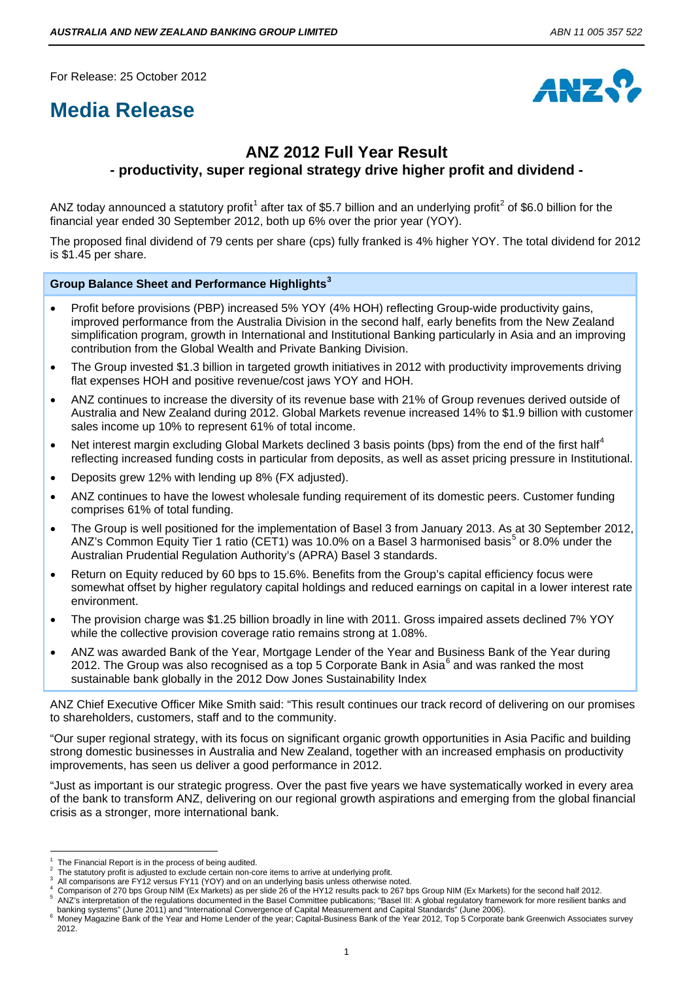For Release: 25 October 2012

# **Media Release**



# **ANZ 2012 Full Year Result - productivity, super regional strategy drive higher profit and dividend -**

ANZ today announced a statutory profit<sup>[1](#page-0-0)</sup> after tax of \$5.7 billion and an underlying profit<sup>[2](#page-0-1)</sup> of \$6.0 billion for the financial year ended 30 September 2012, both up 6% over the prior year (YOY).

The proposed final dividend of 79 cents per share (cps) fully franked is 4% higher YOY. The total dividend for 2012 is \$1.45 per share.

#### **Group Balance Sheet and Performance Highlights[3](#page-0-2)**

- Profit before provisions (PBP) increased 5% YOY (4% HOH) reflecting Group-wide productivity gains, improved performance from the Australia Division in the second half, early benefits from the New Zealand simplification program, growth in International and Institutional Banking particularly in Asia and an improving contribution from the Global Wealth and Private Banking Division.
- The Group invested \$1.3 billion in targeted growth initiatives in 2012 with productivity improvements driving flat expenses HOH and positive revenue/cost jaws YOY and HOH.
- ANZ continues to increase the diversity of its revenue base with 21% of Group revenues derived outside of Australia and New Zealand during 2012. Global Markets revenue increased 14% to \$1.9 billion with customer sales income up 10% to represent 61% of total income.
- Net interest margin excluding Global Markets declined 3 basis points (bps) from the end of the first half<sup>[4](#page-0-3)</sup> reflecting increased funding costs in particular from deposits, as well as asset pricing pressure in Institutional.
- Deposits grew 12% with lending up 8% (FX adjusted).
- ANZ continues to have the lowest wholesale funding requirement of its domestic peers. Customer funding comprises 61% of total funding.
- The Group is well positioned for the implementation of Basel 3 from January 2013. As at 30 September 2012, ANZ's Common Equity Tier 1 ratio (CET1) was 10.0% on a Basel 3 harmonised basis<sup>[5](#page-0-4)</sup> or 8.0% under the Australian Prudential Regulation Authority's (APRA) Basel 3 standards.
- Return on Equity reduced by 60 bps to 15.6%. Benefits from the Group's capital efficiency focus were somewhat offset by higher regulatory capital holdings and reduced earnings on capital in a lower interest rate environment.
- The provision charge was \$1.25 billion broadly in line with 2011. Gross impaired assets declined 7% YOY while the collective provision coverage ratio remains strong at 1.08%.
- ANZ was awarded Bank of the Year, Mortgage Lender of the Year and Business Bank of the Year during 2012. The Group was also recognised as a top 5 Corporate Bank in Asia $^6$  $^6$  and was ranked the most sustainable bank globally in the 2012 Dow Jones Sustainability Index

ANZ Chief Executive Officer Mike Smith said: "This result continues our track record of delivering on our promises to shareholders, customers, staff and to the community.

"Our super regional strategy, with its focus on significant organic growth opportunities in Asia Pacific and building strong domestic businesses in Australia and New Zealand, together with an increased emphasis on productivity improvements, has seen us deliver a good performance in 2012.

"Just as important is our strategic progress. Over the past five years we have systematically worked in every area of the bank to transform ANZ, delivering on our regional growth aspirations and emerging from the global financial crisis as a stronger, more international bank.

i<br>I 1 The Financial Report is in the process of being audited.

<span id="page-0-1"></span><span id="page-0-0"></span><sup>2</sup> The statutory profit is adjusted to exclude certain non-core items to arrive at underlying profit.

<span id="page-0-3"></span><span id="page-0-2"></span>All comparisons are FY12 versus FY11 (YOY) and on an underlying basis unless otherwise noted.

<sup>4</sup> <sup>4</sup> Comparison of 270 bps Group NIM (Ex Markets) as per slide 26 of the HY12 results pack to 267 bps Group NIM (Ex Markets) for the second half 2012.

<span id="page-0-4"></span>ANZ's interpretation of the regulations documented in the Basel Committee publications; "Basel III: A global regulatory framework for more resilient banks and banking systems" (June 2011) and "International Convergence of Capital Measurement and Capital Standards" (June 2006). 6

<span id="page-0-5"></span>Money Magazine Bank of the Year and Home Lender of the year; Capital-Business Bank of the Year 2012, Top 5 Corporate bank Greenwich Associates survey 2012.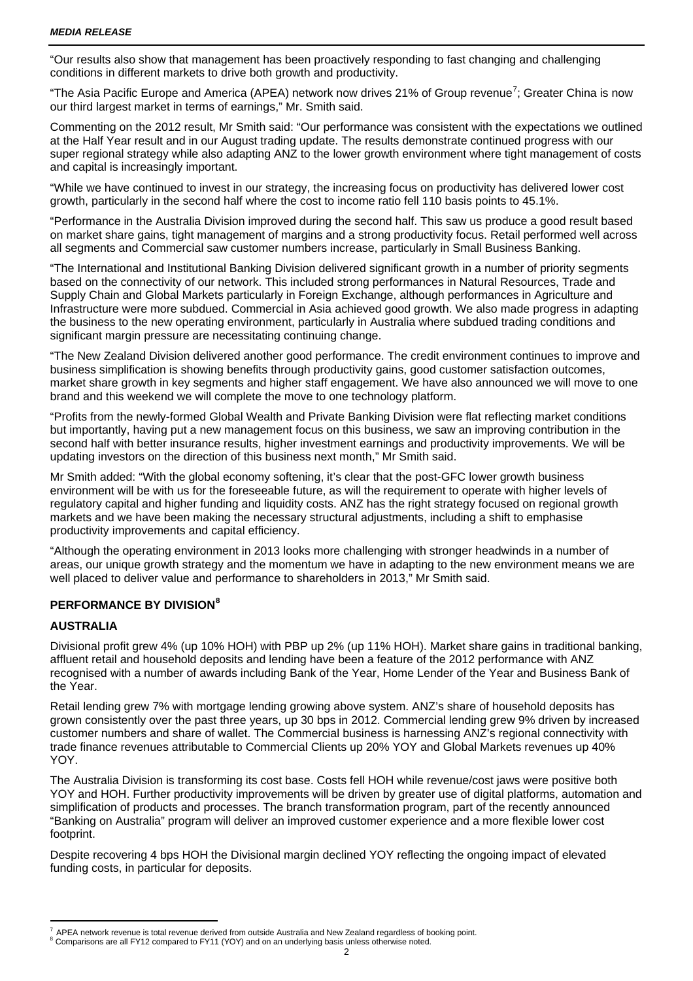"Our results also show that management has been proactively responding to fast changing and challenging conditions in different markets to drive both growth and productivity.

"The Asia Pacific Europe and America (APEA) network now drives 21% of Group revenue<sup>[7](#page-1-0)</sup>; Greater China is now our third largest market in terms of earnings," Mr. Smith said.

Commenting on the 2012 result, Mr Smith said: "Our performance was consistent with the expectations we outlined at the Half Year result and in our August trading update. The results demonstrate continued progress with our super regional strategy while also adapting ANZ to the lower growth environment where tight management of costs and capital is increasingly important.

"While we have continued to invest in our strategy, the increasing focus on productivity has delivered lower cost growth, particularly in the second half where the cost to income ratio fell 110 basis points to 45.1%.

"Performance in the Australia Division improved during the second half. This saw us produce a good result based on market share gains, tight management of margins and a strong productivity focus. Retail performed well across all segments and Commercial saw customer numbers increase, particularly in Small Business Banking.

"The International and Institutional Banking Division delivered significant growth in a number of priority segments based on the connectivity of our network. This included strong performances in Natural Resources, Trade and Supply Chain and Global Markets particularly in Foreign Exchange, although performances in Agriculture and Infrastructure were more subdued. Commercial in Asia achieved good growth. We also made progress in adapting the business to the new operating environment, particularly in Australia where subdued trading conditions and significant margin pressure are necessitating continuing change.

"The New Zealand Division delivered another good performance. The credit environment continues to improve and business simplification is showing benefits through productivity gains, good customer satisfaction outcomes, market share growth in key segments and higher staff engagement. We have also announced we will move to one brand and this weekend we will complete the move to one technology platform.

"Profits from the newly-formed Global Wealth and Private Banking Division were flat reflecting market conditions but importantly, having put a new management focus on this business, we saw an improving contribution in the second half with better insurance results, higher investment earnings and productivity improvements. We will be updating investors on the direction of this business next month," Mr Smith said.

Mr Smith added: "With the global economy softening, it's clear that the post-GFC lower growth business environment will be with us for the foreseeable future, as will the requirement to operate with higher levels of regulatory capital and higher funding and liquidity costs. ANZ has the right strategy focused on regional growth markets and we have been making the necessary structural adjustments, including a shift to emphasise productivity improvements and capital efficiency.

"Although the operating environment in 2013 looks more challenging with stronger headwinds in a number of areas, our unique growth strategy and the momentum we have in adapting to the new environment means we are well placed to deliver value and performance to shareholders in 2013," Mr Smith said.

### **PERFORMANCE BY DIVISION[8](#page-1-1)**

#### **AUSTRALIA**

Divisional profit grew 4% (up 10% HOH) with PBP up 2% (up 11% HOH). Market share gains in traditional banking, affluent retail and household deposits and lending have been a feature of the 2012 performance with ANZ recognised with a number of awards including Bank of the Year, Home Lender of the Year and Business Bank of the Year.

Retail lending grew 7% with mortgage lending growing above system. ANZ's share of household deposits has grown consistently over the past three years, up 30 bps in 2012. Commercial lending grew 9% driven by increased customer numbers and share of wallet. The Commercial business is harnessing ANZ's regional connectivity with trade finance revenues attributable to Commercial Clients up 20% YOY and Global Markets revenues up 40% YOY.

The Australia Division is transforming its cost base. Costs fell HOH while revenue/cost jaws were positive both YOY and HOH. Further productivity improvements will be driven by greater use of digital platforms, automation and simplification of products and processes. The branch transformation program, part of the recently announced "Banking on Australia" program will deliver an improved customer experience and a more flexible lower cost footprint.

Despite recovering 4 bps HOH the Divisional margin declined YOY reflecting the ongoing impact of elevated funding costs, in particular for deposits.

<span id="page-1-1"></span><span id="page-1-0"></span>i.  $^7$  APEA network revenue is total revenue derived from outside Australia and New Zealand regardless of booking point.  $^8$  Comparisons are all FY12 compared to FY11 (YOY) and on an underlying basis unless otherwise noted.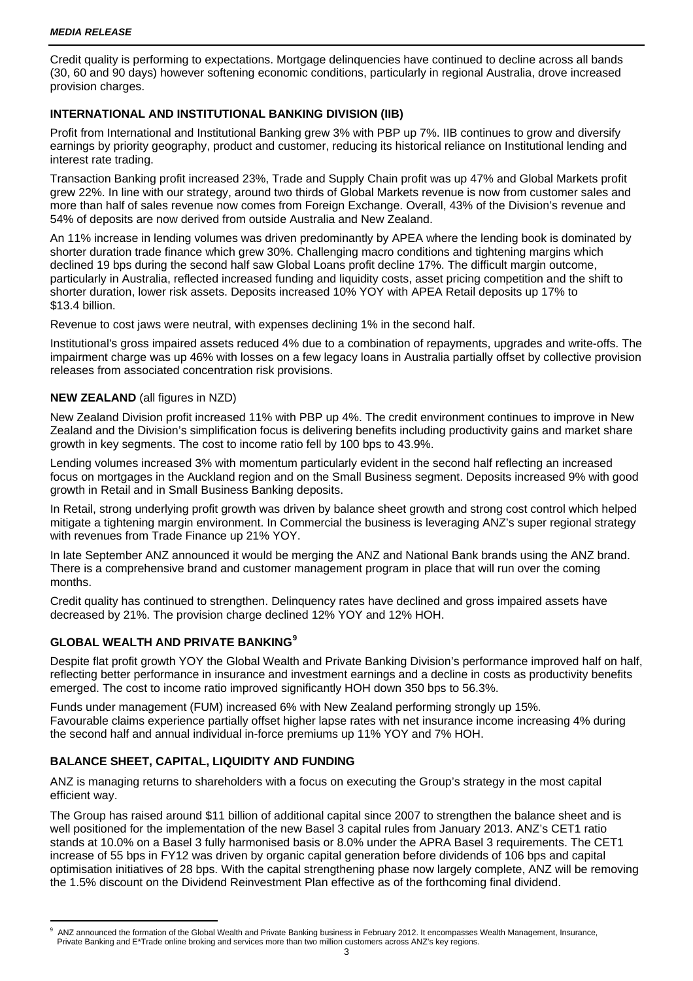Credit quality is performing to expectations. Mortgage delinquencies have continued to decline across all bands (30, 60 and 90 days) however softening economic conditions, particularly in regional Australia, drove increased provision charges.

#### **INTERNATIONAL AND INSTITUTIONAL BANKING DIVISION (IIB)**

Profit from International and Institutional Banking grew 3% with PBP up 7%. IIB continues to grow and diversify earnings by priority geography, product and customer, reducing its historical reliance on Institutional lending and interest rate trading.

Transaction Banking profit increased 23%, Trade and Supply Chain profit was up 47% and Global Markets profit grew 22%. In line with our strategy, around two thirds of Global Markets revenue is now from customer sales and more than half of sales revenue now comes from Foreign Exchange. Overall, 43% of the Division's revenue and 54% of deposits are now derived from outside Australia and New Zealand.

An 11% increase in lending volumes was driven predominantly by APEA where the lending book is dominated by shorter duration trade finance which grew 30%. Challenging macro conditions and tightening margins which declined 19 bps during the second half saw Global Loans profit decline 17%. The difficult margin outcome, particularly in Australia, reflected increased funding and liquidity costs, asset pricing competition and the shift to shorter duration, lower risk assets. Deposits increased 10% YOY with APEA Retail deposits up 17% to \$13.4 billion.

Revenue to cost jaws were neutral, with expenses declining 1% in the second half.

Institutional's gross impaired assets reduced 4% due to a combination of repayments, upgrades and write-offs. The impairment charge was up 46% with losses on a few legacy loans in Australia partially offset by collective provision releases from associated concentration risk provisions.

#### **NEW ZEALAND** (all figures in NZD)

New Zealand Division profit increased 11% with PBP up 4%. The credit environment continues to improve in New Zealand and the Division's simplification focus is delivering benefits including productivity gains and market share growth in key segments. The cost to income ratio fell by 100 bps to 43.9%.

Lending volumes increased 3% with momentum particularly evident in the second half reflecting an increased focus on mortgages in the Auckland region and on the Small Business segment. Deposits increased 9% with good growth in Retail and in Small Business Banking deposits.

In Retail, strong underlying profit growth was driven by balance sheet growth and strong cost control which helped mitigate a tightening margin environment. In Commercial the business is leveraging ANZ's super regional strategy with revenues from Trade Finance up 21% YOY.

In late September ANZ announced it would be merging the ANZ and National Bank brands using the ANZ brand. There is a comprehensive brand and customer management program in place that will run over the coming months.

Credit quality has continued to strengthen. Delinquency rates have declined and gross impaired assets have decreased by 21%. The provision charge declined 12% YOY and 12% HOH.

## **GLOBAL WEALTH AND PRIVATE BANKING[9](#page-2-0)**

Despite flat profit growth YOY the Global Wealth and Private Banking Division's performance improved half on half, reflecting better performance in insurance and investment earnings and a decline in costs as productivity benefits emerged. The cost to income ratio improved significantly HOH down 350 bps to 56.3%.

Funds under management (FUM) increased 6% with New Zealand performing strongly up 15%. Favourable claims experience partially offset higher lapse rates with net insurance income increasing 4% during the second half and annual individual in-force premiums up 11% YOY and 7% HOH.

#### **BALANCE SHEET, CAPITAL, LIQUIDITY AND FUNDING**

ANZ is managing returns to shareholders with a focus on executing the Group's strategy in the most capital efficient way.

The Group has raised around \$11 billion of additional capital since 2007 to strengthen the balance sheet and is well positioned for the implementation of the new Basel 3 capital rules from January 2013. ANZ's CET1 ratio stands at 10.0% on a Basel 3 fully harmonised basis or 8.0% under the APRA Basel 3 requirements. The CET1 increase of 55 bps in FY12 was driven by organic capital generation before dividends of 106 bps and capital optimisation initiatives of 28 bps. With the capital strengthening phase now largely complete, ANZ will be removing the 1.5% discount on the Dividend Reinvestment Plan effective as of the forthcoming final dividend.

<span id="page-2-0"></span>i. 9 ANZ announced the formation of the Global Wealth and Private Banking business in February 2012. It encompasses Wealth Management, Insurance, Private Banking and E\*Trade online broking and services more than two million customers across ANZ's key regions.